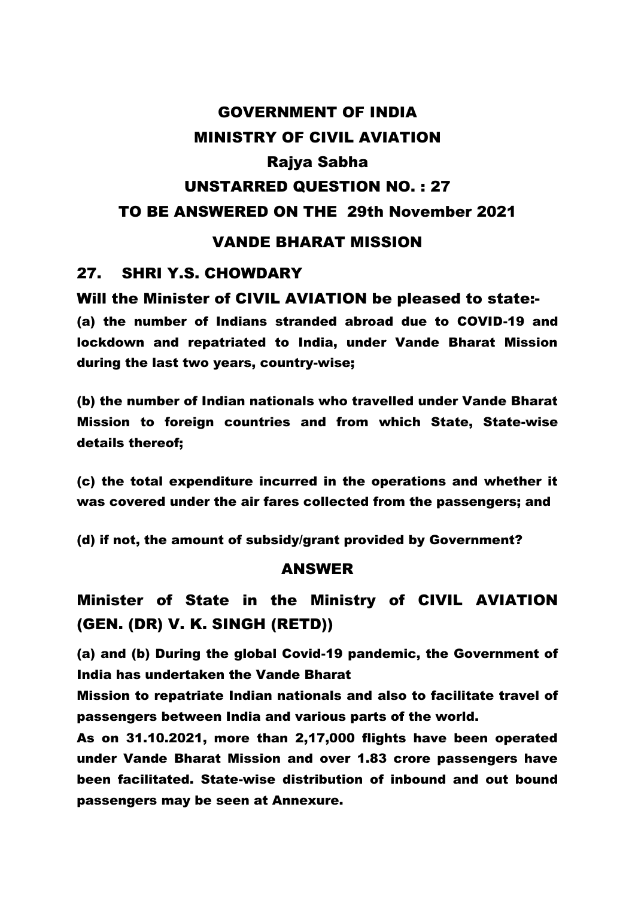# GOVERNMENT OF INDIA MINISTRY OF CIVIL AVIATION Rajya Sabha UNSTARRED QUESTION NO. : 27 TO BE ANSWERED ON THE 29th November 2021

## VANDE BHARAT MISSION

### 27. SHRI Y.S. CHOWDARY

#### Will the Minister of CIVIL AVIATION be pleased to state:-

(a) the number of Indians stranded abroad due to COVID-19 and lockdown and repatriated to India, under Vande Bharat Mission during the last two years, country-wise;

(b) the number of Indian nationals who travelled under Vande Bharat Mission to foreign countries and from which State, State-wise details thereof;

(c) the total expenditure incurred in the operations and whether it was covered under the air fares collected from the passengers; and

(d) if not, the amount of subsidy/grant provided by Government?

#### ANSWER

Minister of State in the Ministry of CIVIL AVIATION (GEN. (DR) V. K. SINGH (RETD))

(a) and (b) During the global Covid-19 pandemic, the Government of India has undertaken the Vande Bharat

Mission to repatriate Indian nationals and also to facilitate travel of passengers between India and various parts of the world.

As on 31.10.2021, more than 2,17,000 flights have been operated under Vande Bharat Mission and over 1.83 crore passengers have been facilitated. State-wise distribution of inbound and out bound passengers may be seen at Annexure.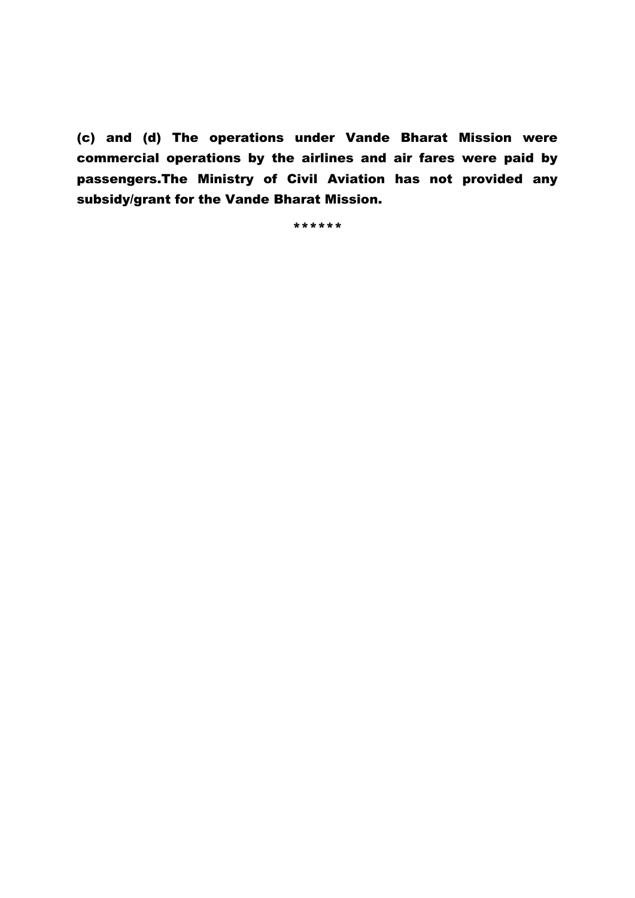(c) and (d) The operations under Vande Bharat Mission were commercial operations by the airlines and air fares were paid by passengers.The Ministry of Civil Aviation has not provided any subsidy/grant for the Vande Bharat Mission.

\*\*\*\*\*\*